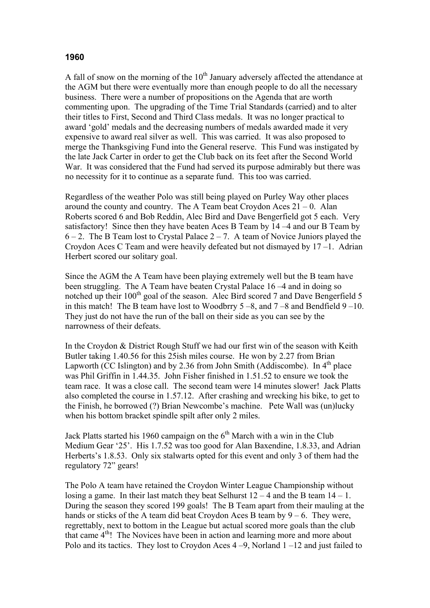## **1960**

A fall of snow on the morning of the  $10<sup>th</sup>$  January adversely affected the attendance at the AGM but there were eventually more than enough people to do all the necessary business. There were a number of propositions on the Agenda that are worth commenting upon. The upgrading of the Time Trial Standards (carried) and to alter their titles to First, Second and Third Class medals. It was no longer practical to award 'gold' medals and the decreasing numbers of medals awarded made it very expensive to award real silver as well. This was carried. It was also proposed to merge the Thanksgiving Fund into the General reserve. This Fund was instigated by the late Jack Carter in order to get the Club back on its feet after the Second World War. It was considered that the Fund had served its purpose admirably but there was no necessity for it to continue as a separate fund. This too was carried.

Regardless of the weather Polo was still being played on Purley Way other places around the country and country. The A Team beat Croydon Aces  $21 - 0$ . Alan Roberts scored 6 and Bob Reddin, Alec Bird and Dave Bengerfield got 5 each. Very satisfactory! Since then they have beaten Aces B Team by 14 –4 and our B Team by  $6 - 2$ . The B Team lost to Crystal Palace  $2 - 7$ . A team of Novice Juniors played the Croydon Aces C Team and were heavily defeated but not dismayed by 17 –1. Adrian Herbert scored our solitary goal.

Since the AGM the A Team have been playing extremely well but the B team have been struggling. The A Team have beaten Crystal Palace 16 –4 and in doing so notched up their 100<sup>th</sup> goal of the season. Alec Bird scored 7 and Dave Bengerfield 5 in this match! The B team have lost to Woodbrry  $5-8$ , and  $7-8$  and Bendfield  $9-10$ . They just do not have the run of the ball on their side as you can see by the narrowness of their defeats.

In the Croydon & District Rough Stuff we had our first win of the season with Keith Butler taking 1.40.56 for this 25ish miles course. He won by 2.27 from Brian Lapworth (CC Islington) and by 2.36 from John Smith (Addiscombe). In  $4<sup>th</sup>$  place was Phil Griffin in 1.44.35. John Fisher finished in 1.51.52 to ensure we took the team race. It was a close call. The second team were 14 minutes slower! Jack Platts also completed the course in 1.57.12. After crashing and wrecking his bike, to get to the Finish, he borrowed (?) Brian Newcombe's machine. Pete Wall was (un)lucky when his bottom bracket spindle spilt after only 2 miles.

Jack Platts started his 1960 campaign on the  $6<sup>th</sup>$  March with a win in the Club Medium Gear '25'. His 1.7.52 was too good for Alan Baxendine, 1.8.33, and Adrian Herberts's 1.8.53. Only six stalwarts opted for this event and only 3 of them had the regulatory 72" gears!

The Polo A team have retained the Croydon Winter League Championship without losing a game. In their last match they beat Selhurst  $12 - 4$  and the B team  $14 - 1$ . During the season they scored 199 goals! The B Team apart from their mauling at the hands or sticks of the A team did beat Croydon Aces B team by  $9 - 6$ . They were, regrettably, next to bottom in the League but actual scored more goals than the club that came  $4<sup>th</sup>$ ! The Novices have been in action and learning more and more about Polo and its tactics. They lost to Croydon Aces 4 –9, Norland 1 –12 and just failed to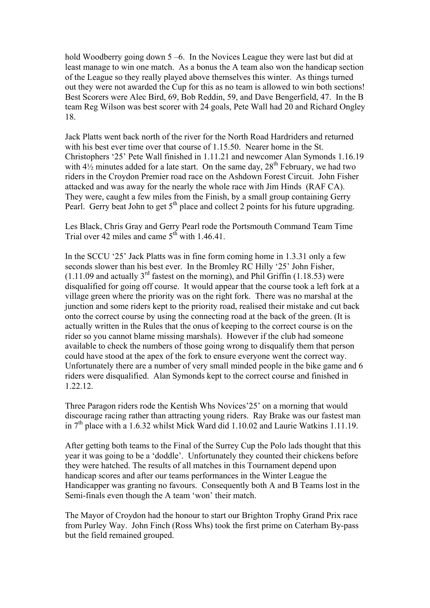hold Woodberry going down 5–6. In the Novices League they were last but did at least manage to win one match. As a bonus the A team also won the handicap section of the League so they really played above themselves this winter. As things turned out they were not awarded the Cup for this as no team is allowed to win both sections! Best Scorers were Alec Bird, 69, Bob Reddin, 59, and Dave Bengerfield, 47. In the B team Reg Wilson was best scorer with 24 goals, Pete Wall had 20 and Richard Ongley 18.

Jack Platts went back north of the river for the North Road Hardriders and returned with his best ever time over that course of 1.15.50. Nearer home in the St. Christophers '25' Pete Wall finished in 1.11.21 and newcomer Alan Symonds 1.16.19 with  $4\frac{1}{2}$  minutes added for a late start. On the same day,  $28^{th}$  February, we had two riders in the Croydon Premier road race on the Ashdown Forest Circuit. John Fisher attacked and was away for the nearly the whole race with Jim Hinds (RAF CA). They were, caught a few miles from the Finish, by a small group containing Gerry Pearl. Gerry beat John to get  $5<sup>th</sup>$  place and collect 2 points for his future upgrading.

Les Black, Chris Gray and Gerry Pearl rode the Portsmouth Command Team Time Trial over 42 miles and came  $5<sup>th</sup>$  with 1.46.41.

In the SCCU '25' Jack Platts was in fine form coming home in 1.3.31 only a few seconds slower than his best ever. In the Bromley RC Hilly '25' John Fisher,  $(1.11.09$  and actually 3<sup>rd</sup> fastest on the morning), and Phil Griffin (1.18.53) were disqualified for going off course. It would appear that the course took a left fork at a village green where the priority was on the right fork. There was no marshal at the junction and some riders kept to the priority road, realised their mistake and cut back onto the correct course by using the connecting road at the back of the green. (It is actually written in the Rules that the onus of keeping to the correct course is on the rider so you cannot blame missing marshals). However if the club had someone available to check the numbers of those going wrong to disqualify them that person could have stood at the apex of the fork to ensure everyone went the correct way. Unfortunately there are a number of very small minded people in the bike game and 6 riders were disqualified. Alan Symonds kept to the correct course and finished in 1.22.12.

Three Paragon riders rode the Kentish Whs Novices'25' on a morning that would discourage racing rather than attracting young riders. Ray Brake was our fastest man in  $7<sup>th</sup>$  place with a 1.6.32 whilst Mick Ward did 1.10.02 and Laurie Watkins 1.11.19.

After getting both teams to the Final of the Surrey Cup the Polo lads thought that this year it was going to be a 'doddle'. Unfortunately they counted their chickens before they were hatched. The results of all matches in this Tournament depend upon handicap scores and after our teams performances in the Winter League the Handicapper was granting no favours. Consequently both A and B Teams lost in the Semi-finals even though the A team 'won' their match.

The Mayor of Croydon had the honour to start our Brighton Trophy Grand Prix race from Purley Way. John Finch (Ross Whs) took the first prime on Caterham By-pass but the field remained grouped.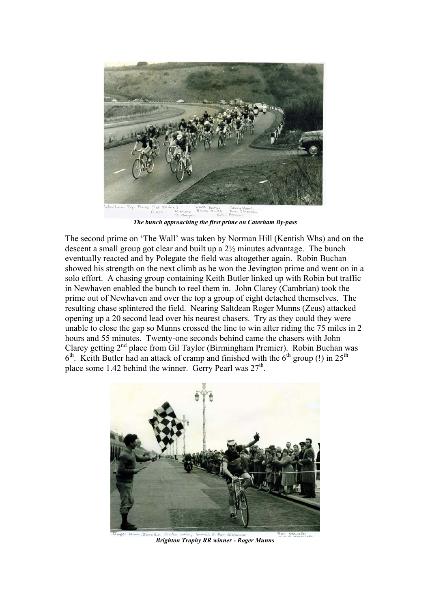

*The bunch approaching the first prime on Caterham By-pass* 

The second prime on 'The Wall' was taken by Norman Hill (Kentish Whs) and on the descent a small group got clear and built up a 2½ minutes advantage. The bunch eventually reacted and by Polegate the field was altogether again. Robin Buchan showed his strength on the next climb as he won the Jevington prime and went on in a solo effort. A chasing group containing Keith Butler linked up with Robin but traffic in Newhaven enabled the bunch to reel them in. John Clarey (Cambrian) took the prime out of Newhaven and over the top a group of eight detached themselves. The resulting chase splintered the field. Nearing Saltdean Roger Munns (Zeus) attacked opening up a 20 second lead over his nearest chasers. Try as they could they were unable to close the gap so Munns crossed the line to win after riding the 75 miles in 2 hours and 55 minutes. Twenty-one seconds behind came the chasers with John Clarey getting  $2<sup>nd</sup>$  place from Gil Taylor (Birmingham Premier). Robin Buchan was  $6<sup>th</sup>$ . Keith Butler had an attack of cramp and finished with the  $6<sup>th</sup>$  group (!) in 25<sup>th</sup> place some 1.42 behind the winner. Gerry Pearl was  $27<sup>th</sup>$ .



*Brighton Trophy RR winner - Roger Munns*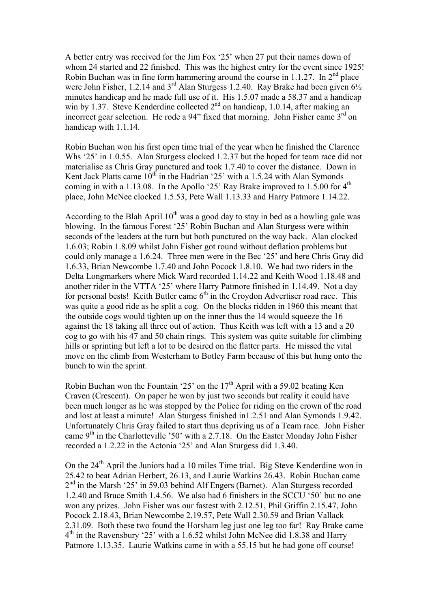A better entry was received for the Jim Fox '25' when 27 put their names down of whom 24 started and 22 finished. This was the highest entry for the event since 1925! Robin Buchan was in fine form hammering around the course in 1.1.27. In  $2<sup>nd</sup>$  place were John Fisher, 1.2.14 and  $3^{rd}$  Alan Sturgess 1.2.40. Ray Brake had been given  $6\frac{1}{2}$ minutes handicap and he made full use of it. His 1.5.07 made a 58.37 and a handicap win by 1.37. Steve Kenderdine collected  $2<sup>nd</sup>$  on handicap, 1.0.14, after making an incorrect gear selection. He rode a 94" fixed that morning. John Fisher came  $3<sup>rd</sup>$  on handicap with 1.1.14.

Robin Buchan won his first open time trial of the year when he finished the Clarence Whs '25' in 1.0.55. Alan Sturgess clocked 1.2.37 but the hoped for team race did not materialise as Chris Gray punctured and took 1.7.40 to cover the distance. Down in Kent Jack Platts came  $10^{th}$  in the Hadrian '25' with a 1.5.24 with Alan Symonds coming in with a 1.13.08. In the Apollo '25' Ray Brake improved to  $1.5.00$  for  $4<sup>th</sup>$ place, John McNee clocked 1.5.53, Pete Wall 1.13.33 and Harry Patmore 1.14.22.

According to the Blah April  $10<sup>th</sup>$  was a good day to stay in bed as a howling gale was blowing. In the famous Forest '25' Robin Buchan and Alan Sturgess were within seconds of the leaders at the turn but both punctured on the way back. Alan clocked 1.6.03; Robin 1.8.09 whilst John Fisher got round without deflation problems but could only manage a 1.6.24. Three men were in the Bec '25' and here Chris Gray did 1.6.33, Brian Newcombe 1.7.40 and John Pocock 1.8.10. We had two riders in the Delta Longmarkers where Mick Ward recorded 1.14.22 and Keith Wood 1.18.48 and another rider in the VTTA '25' where Harry Patmore finished in 1.14.49. Not a day for personal bests! Keith Butler came  $6<sup>th</sup>$  in the Croydon Advertiser road race. This was quite a good ride as he split a cog. On the blocks ridden in 1960 this meant that the outside cogs would tighten up on the inner thus the 14 would squeeze the 16 against the 18 taking all three out of action. Thus Keith was left with a 13 and a 20 cog to go with his 47 and 50 chain rings. This system was quite suitable for climbing hills or sprinting but left a lot to be desired on the flatter parts. He missed the vital move on the climb from Westerham to Botley Farm because of this but hung onto the bunch to win the sprint.

Robin Buchan won the Fountain '25' on the  $17<sup>th</sup>$  April with a 59.02 beating Ken Craven (Crescent). On paper he won by just two seconds but reality it could have been much longer as he was stopped by the Police for riding on the crown of the road and lost at least a minute! Alan Sturgess finished in1.2.51 and Alan Symonds 1.9.42. Unfortunately Chris Gray failed to start thus depriving us of a Team race. John Fisher came  $9<sup>th</sup>$  in the Charlotteville '50' with a 2.7.18. On the Easter Monday John Fisher recorded a 1.2.22 in the Actonia '25' and Alan Sturgess did 1.3.40.

On the 24th April the Juniors had a 10 miles Time trial. Big Steve Kenderdine won in 25.42 to beat Adrian Herbert, 26.13, and Laurie Watkins 26.43. Robin Buchan came  $2<sup>nd</sup>$  in the Marsh '25' in 59.03 behind Alf Engers (Barnet). Alan Sturgess recorded 1.2.40 and Bruce Smith 1.4.56. We also had 6 finishers in the SCCU '50' but no one won any prizes. John Fisher was our fastest with 2.12.51, Phil Griffin 2.15.47, John Pocock 2.18.43, Brian Newcombe 2.19.57, Pete Wall 2.30.59 and Brian Vallack 2.31.09. Both these two found the Horsham leg just one leg too far! Ray Brake came 4th in the Ravensbury '25' with a 1.6.52 whilst John McNee did 1.8.38 and Harry Patmore 1.13.35. Laurie Watkins came in with a 55.15 but he had gone off course!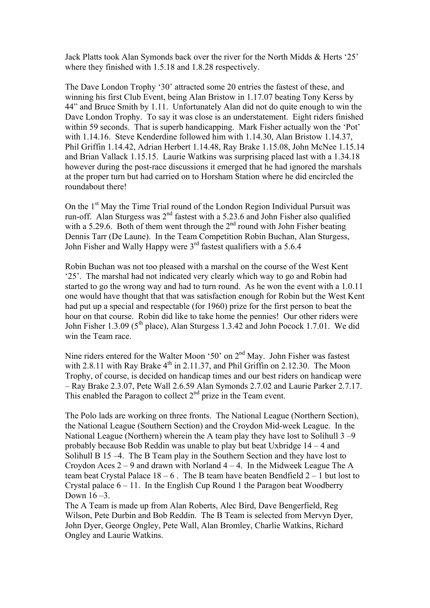Jack Platts took Alan Symonds back over the river for the North Midds & Herts '25' where they finished with 1.5.18 and 1.8.28 respectively.

The Dave London Trophy '30' attracted some 20 entries the fastest of these, and winning his first Club Event, being Alan Bristow in 1.17.07 beating Tony Kerss by 44" and Bruce Smith by 1.11. Unfortunately Alan did not do quite enough to win the Dave London Trophy. To say it was close is an understatement. Eight riders finished within 59 seconds. That is superb handicapping. Mark Fisher actually won the 'Pot' with 1.14.16. Steve Kenderdine followed him with 1.14.30, Alan Bristow 1.14.37, Phil Griffin 1.14.42, Adrian Herbert 1.14.48, Ray Brake 1.15.08, John McNee 1.15.14 and Brian Vallack 1.15.15. Laurie Watkins was surprising placed last with a 1.34.18 however during the post-race discussions it emerged that he had ignored the marshals at the proper turn but had carried on to Horsham Station where he did encircled the roundabout there!

On the 1<sup>st</sup> May the Time Trial round of the London Region Individual Pursuit was run-off. Alan Sturgess was 2<sup>nd</sup> fastest with a 5.23.6 and John Fisher also qualified with a 5.29.6. Both of them went through the 2<sup>nd</sup> round with John Fisher beating Dennis Tarr (De Laune). In the Team Competition Robin Buchan, Alan Sturgess, John Fisher and Wally Happy were 3<sup>rd</sup> fastest qualifiers with a 5.6.4

Robin Buchan was not too pleased with a marshal on the course of the West Kent '25'. The marshal had not indicated very clearly which way to go and Robin had started to go the wrong way and had to turn round. As he won the event with a 1.0.11 one would have thought that that was satisfaction enough for Robin but the West Kent had put up a special and respectable (for 1960) prize for the first person to beat the hour on that course. Robin did like to take home the pennies! Our other riders were John Fisher 1.3.09 (5<sup>th</sup> place), Alan Sturgess 1.3.42 and John Pocock 1.7.01. We did win the Team race.

Nine riders entered for the Walter Moon '50' on  $2<sup>nd</sup>$  May. John Fisher was fastest with 2.8.11 with Ray Brake  $4<sup>th</sup>$  in 2.11.37, and Phil Griffin on 2.12.30. The Moon Trophy, of course, is decided on handicap times and our best riders on handicap were – Ray Brake 2.3.07, Pete Wall 2.6.59 Alan Symonds 2.7.02 and Laurie Parker 2.7.17. This enabled the Paragon to collect  $2<sup>nd</sup>$  prize in the Team event.

The Polo lads are working on three fronts. The National League (Northern Section), the National League (Southern Section) and the Croydon Mid-week League. In the National League (Northern) wherein the A team play they have lost to Solihull  $3 - 9$ probably because Bob Reddin was unable to play but beat Uxbridge 14 – 4 and Solihull B 15 –4. The B Team play in the Southern Section and they have lost to Croydon Aces  $2 - 9$  and drawn with Norland  $4 - 4$ . In the Midweek League The A team beat Crystal Palace  $18 - 6$ . The B team have beaten Bendfield  $2 - 1$  but lost to Crystal palace  $6 - 11$ . In the English Cup Round 1 the Paragon beat Woodberry Down 16 –3.

The A Team is made up from Alan Roberts, Alec Bird, Dave Bengerfield, Reg Wilson, Pete Durbin and Bob Reddin. The B Team is selected from Mervyn Dyer, John Dyer, George Ongley, Pete Wall, Alan Bromley, Charlie Watkins, Richard Ongley and Laurie Watkins.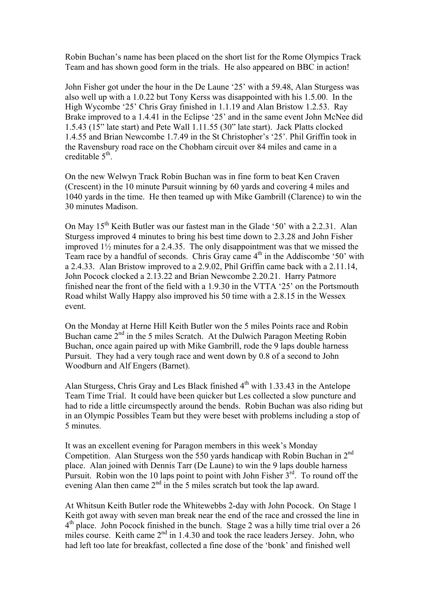Robin Buchan's name has been placed on the short list for the Rome Olympics Track Team and has shown good form in the trials. He also appeared on BBC in action!

John Fisher got under the hour in the De Laune '25' with a 59.48, Alan Sturgess was also well up with a 1.0.22 but Tony Kerss was disappointed with his 1.5.00. In the High Wycombe '25' Chris Gray finished in 1.1.19 and Alan Bristow 1.2.53. Ray Brake improved to a 1.4.41 in the Eclipse '25' and in the same event John McNee did 1.5.43 (15" late start) and Pete Wall 1.11.55 (30" late start). Jack Platts clocked 1.4.55 and Brian Newcombe 1.7.49 in the St Christopher's '25'. Phil Griffin took in the Ravensbury road race on the Chobham circuit over 84 miles and came in a creditable 5<sup>th</sup>.

On the new Welwyn Track Robin Buchan was in fine form to beat Ken Craven (Crescent) in the 10 minute Pursuit winning by 60 yards and covering 4 miles and 1040 yards in the time. He then teamed up with Mike Gambrill (Clarence) to win the 30 minutes Madison.

On May 15<sup>th</sup> Keith Butler was our fastest man in the Glade '50' with a 2.2.31. Alan Sturgess improved 4 minutes to bring his best time down to 2.3.28 and John Fisher improved 1½ minutes for a 2.4.35. The only disappointment was that we missed the Team race by a handful of seconds. Chris Gray came  $4<sup>th</sup>$  in the Addiscombe '50' with a 2.4.33. Alan Bristow improved to a 2.9.02, Phil Griffin came back with a 2.11.14, John Pocock clocked a 2.13.22 and Brian Newcombe 2.20.21. Harry Patmore finished near the front of the field with a 1.9.30 in the VTTA '25' on the Portsmouth Road whilst Wally Happy also improved his 50 time with a 2.8.15 in the Wessex event.

On the Monday at Herne Hill Keith Butler won the 5 miles Points race and Robin Buchan came  $2<sup>nd</sup>$  in the 5 miles Scratch. At the Dulwich Paragon Meeting Robin Buchan, once again paired up with Mike Gambrill, rode the 9 laps double harness Pursuit. They had a very tough race and went down by 0.8 of a second to John Woodburn and Alf Engers (Barnet).

Alan Sturgess, Chris Gray and Les Black finished  $4<sup>th</sup>$  with 1.33.43 in the Antelope Team Time Trial. It could have been quicker but Les collected a slow puncture and had to ride a little circumspectly around the bends. Robin Buchan was also riding but in an Olympic Possibles Team but they were beset with problems including a stop of 5 minutes.

It was an excellent evening for Paragon members in this week's Monday Competition. Alan Sturgess won the 550 yards handicap with Robin Buchan in  $2<sup>nd</sup>$ place. Alan joined with Dennis Tarr (De Laune) to win the 9 laps double harness Pursuit. Robin won the 10 laps point to point with John Fisher  $3^{rd}$ . To round off the evening Alan then came 2<sup>nd</sup> in the 5 miles scratch but took the lap award.

At Whitsun Keith Butler rode the Whitewebbs 2-day with John Pocock. On Stage 1 Keith got away with seven man break near the end of the race and crossed the line in  $4<sup>th</sup>$  place. John Pocock finished in the bunch. Stage 2 was a hilly time trial over a 26 miles course. Keith came 2<sup>nd</sup> in 1.4.30 and took the race leaders Jersey. John, who had left too late for breakfast, collected a fine dose of the 'bonk' and finished well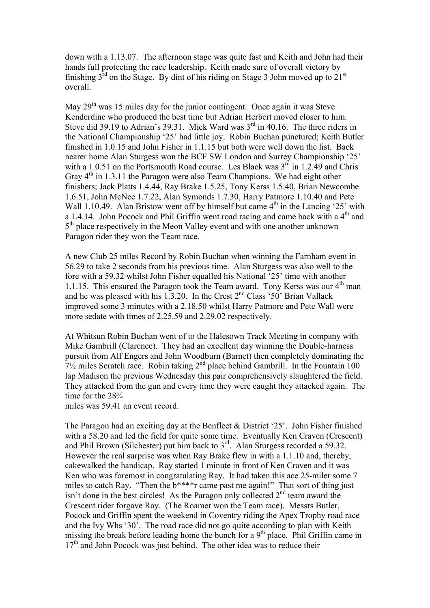down with a 1.13.07. The afternoon stage was quite fast and Keith and John had their hands full protecting the race leadership. Keith made sure of overall victory by finishing  $3<sup>rd</sup>$  on the Stage. By dint of his riding on Stage 3 John moved up to  $21<sup>st</sup>$ overall.

May  $29<sup>th</sup>$  was 15 miles day for the junior contingent. Once again it was Steve Kenderdine who produced the best time but Adrian Herbert moved closer to him. Steve did 39.19 to Adrian's 39.31. Mick Ward was  $3<sup>rd</sup>$  in 40.16. The three riders in the National Championship '25' had little joy. Robin Buchan punctured; Keith Butler finished in 1.0.15 and John Fisher in 1.1.15 but both were well down the list. Back nearer home Alan Sturgess won the BCF SW London and Surrey Championship '25' with a 1.0.51 on the Portsmouth Road course. Les Black was  $3<sup>rd</sup>$  in 1.2.49 and Chris Gray  $4<sup>th</sup>$  in 1.3.11 the Paragon were also Team Champions. We had eight other finishers; Jack Platts 1.4.44, Ray Brake 1.5.25, Tony Kerss 1.5.40, Brian Newcombe 1.6.51, John McNee 1.7.22, Alan Symonds 1.7.30, Harry Patmore 1.10.40 and Pete Wall 1.10.49. Alan Bristow went off by himself but came  $4<sup>th</sup>$  in the Lancing '25' with a 1.4.14. John Pocock and Phil Griffin went road racing and came back with a  $4<sup>th</sup>$  and  $5<sup>th</sup>$  place respectively in the Meon Valley event and with one another unknown Paragon rider they won the Team race.

A new Club 25 miles Record by Robin Buchan when winning the Farnham event in 56.29 to take 2 seconds from his previous time. Alan Sturgess was also well to the fore with a 59.32 whilst John Fisher equalled his National '25' time with another 1.1.15. This ensured the Paragon took the Team award. Tony Kerss was our  $4<sup>th</sup>$  man and he was pleased with his 1.3.20. In the Crest  $2<sup>nd</sup>$  Class '50' Brian Vallack improved some 3 minutes with a 2.18.50 whilst Harry Patmore and Pete Wall were more sedate with times of 2.25.59 and 2.29.02 respectively.

At Whitsun Robin Buchan went of to the Halesown Track Meeting in company with Mike Gambrill (Clarence). They had an excellent day winning the Double-harness pursuit from Alf Engers and John Woodburn (Barnet) then completely dominating the  $7\frac{1}{2}$  miles Scratch race. Robin taking  $2^{nd}$  place behind Gambrill. In the Fountain 100 lap Madison the previous Wednesday this pair comprehensively slaughtered the field. They attacked from the gun and every time they were caught they attacked again. The time for the  $28\frac{3}{4}$ 

miles was 59.41 an event record.

The Paragon had an exciting day at the Benfleet & District '25'. John Fisher finished with a 58.20 and led the field for quite some time. Eventually Ken Craven (Crescent) and Phil Brown (Silchester) put him back to  $3<sup>rd</sup>$ . Alan Sturgess recorded a 59.32. However the real surprise was when Ray Brake flew in with a 1.1.10 and, thereby, cakewalked the handicap. Ray started 1 minute in front of Ken Craven and it was Ken who was foremost in congratulating Ray. It had taken this ace 25-miler some 7 miles to catch Ray. "Then the b\*\*\*\*r came past me again!" That sort of thing just isn't done in the best circles! As the Paragon only collected  $2<sup>nd</sup>$  team award the Crescent rider forgave Ray. (The Roamer won the Team race). Messrs Butler, Pocock and Griffin spent the weekend in Coventry riding the Apex Trophy road race and the Ivy Whs '30'. The road race did not go quite according to plan with Keith missing the break before leading home the bunch for a 9<sup>th</sup> place. Phil Griffin came in  $17<sup>th</sup>$  and John Pocock was just behind. The other idea was to reduce their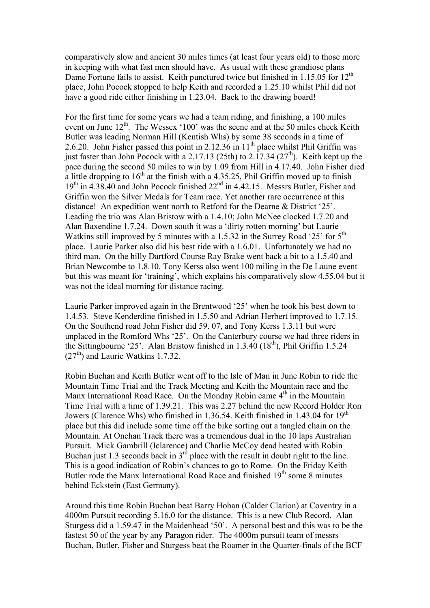comparatively slow and ancient 30 miles times (at least four years old) to those more in keeping with what fast men should have. As usual with these grandiose plans Dame Fortune fails to assist. Keith punctured twice but finished in 1.15.05 for  $12^{th}$ place, John Pocock stopped to help Keith and recorded a 1.25.10 whilst Phil did not have a good ride either finishing in 1.23.04. Back to the drawing board!

For the first time for some years we had a team riding, and finishing, a 100 miles event on June 12<sup>th</sup>. The Wessex '100' was the scene and at the 50 miles check Keith Butler was leading Norman Hill (Kentish Whs) by some 38 seconds in a time of 2.6.20. John Fisher passed this point in  $2.12.36$  in  $11<sup>th</sup>$  place whilst Phil Griffin was just faster than John Pocock with a 2.17.13 (25th) to  $2.17.34$  ( $27<sup>th</sup>$ ). Keith kept up the pace during the second 50 miles to win by 1.09 from Hill in 4.17.40. John Fisher died a little dropping to  $16<sup>th</sup>$  at the finish with a 4.35.25, Phil Griffin moved up to finish  $19<sup>th</sup>$  in 4.38.40 and John Pocock finished  $22<sup>nd</sup>$  in 4.42.15. Messrs Butler, Fisher and Griffin won the Silver Medals for Team race. Yet another rare occurrence at this distance! An expedition went north to Retford for the Dearne & District '25'. Leading the trio was Alan Bristow with a 1.4.10; John McNee clocked 1.7.20 and Alan Baxendine 1.7.24. Down south it was a 'dirty rotten morning' but Laurie Watkins still improved by 5 minutes with a 1.5.32 in the Surrey Road '25' for  $5<sup>th</sup>$ place. Laurie Parker also did his best ride with a 1.6.01. Unfortunately we had no third man. On the hilly Dartford Course Ray Brake went back a bit to a 1.5.40 and Brian Newcombe to 1.8.10. Tony Kerss also went 100 miling in the De Laune event but this was meant for 'training', which explains his comparatively slow 4.55.04 but it was not the ideal morning for distance racing.

Laurie Parker improved again in the Brentwood '25' when he took his best down to 1.4.53. Steve Kenderdine finished in 1.5.50 and Adrian Herbert improved to 1.7.15. On the Southend road John Fisher did 59. 07, and Tony Kerss 1.3.11 but were unplaced in the Romford Whs '25'. On the Canterbury course we had three riders in the Sittingbourne '25'. Alan Bristow finished in  $1.3.40$  ( $18<sup>th</sup>$ ), Phil Griffin 1.5.24  $(27<sup>th</sup>)$  and Laurie Watkins 1.7.32.

Robin Buchan and Keith Butler went off to the Isle of Man in June Robin to ride the Mountain Time Trial and the Track Meeting and Keith the Mountain race and the Manx International Road Race. On the Monday Robin came  $4<sup>th</sup>$  in the Mountain Time Trial with a time of 1.39.21. This was 2.27 behind the new Record Holder Ron Jowers (Clarence Whs) who finished in 1.36.54. Keith finished in 1.43.04 for 19<sup>th</sup> place but this did include some time off the bike sorting out a tangled chain on the Mountain. At Onchan Track there was a tremendous dual in the 10 laps Australian Pursuit. Mick Gambrill (Iclarence) and Charlie McCoy dead heated with Robin Buchan just 1.3 seconds back in  $3<sup>rd</sup>$  place with the result in doubt right to the line. This is a good indication of Robin's chances to go to Rome. On the Friday Keith Butler rode the Manx International Road Race and finished  $19<sup>th</sup>$  some 8 minutes behind Eckstein (East Germany).

Around this time Robin Buchan beat Barry Hoban (Calder Clarion) at Coventry in a 4000m Pursuit recording 5.16.0 for the distance. This is a new Club Record. Alan Sturgess did a 1.59.47 in the Maidenhead '50'. A personal best and this was to be the fastest 50 of the year by any Paragon rider. The 4000m pursuit team of messrs Buchan, Butler, Fisher and Sturgess beat the Roamer in the Quarter-finals of the BCF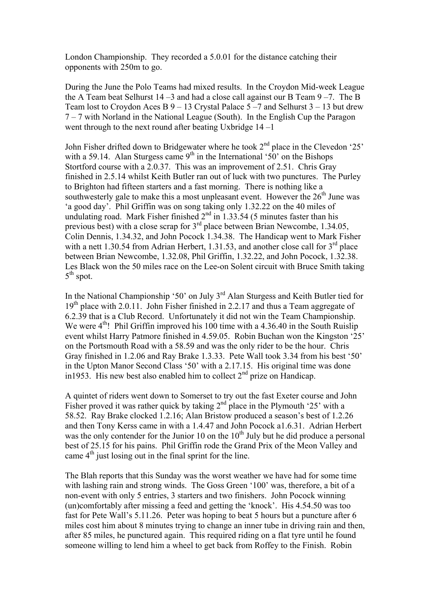London Championship. They recorded a 5.0.01 for the distance catching their opponents with 250m to go.

During the June the Polo Teams had mixed results. In the Croydon Mid-week League the A Team beat Selhurst  $14 - 3$  and had a close call against our B Team  $9 - 7$ . The B Team lost to Croydon Aces B 9 – 13 Crystal Palace 5 –7 and Selhurst 3 – 13 but drew 7 – 7 with Norland in the National League (South). In the English Cup the Paragon went through to the next round after beating Uxbridge 14 –1

John Fisher drifted down to Bridgewater where he took 2nd place in the Clevedon '25' with a 59.14. Alan Sturgess came  $9<sup>th</sup>$  in the International '50' on the Bishops Stortford course with a 2.0.37. This was an improvement of 2.51. Chris Gray finished in 2.5.14 whilst Keith Butler ran out of luck with two punctures. The Purley to Brighton had fifteen starters and a fast morning. There is nothing like a southwesterly gale to make this a most unpleasant event. However the  $26<sup>th</sup>$  June was 'a good day'. Phil Griffin was on song taking only 1.32.22 on the 40 miles of undulating road. Mark Fisher finished  $2<sup>nd</sup>$  in 1.33.54 (5 minutes faster than his previous best) with a close scrap for  $3<sup>rd</sup>$  place between Brian Newcombe, 1.34.05, Colin Dennis, 1.34.32, and John Pocock 1.34.38. The Handicap went to Mark Fisher with a nett 1.30.54 from Adrian Herbert, 1.31.53, and another close call for  $3<sup>rd</sup>$  place between Brian Newcombe, 1.32.08, Phil Griffin, 1.32.22, and John Pocock, 1.32.38. Les Black won the 50 miles race on the Lee-on Solent circuit with Bruce Smith taking 5<sup>th</sup> spot.

In the National Championship '50' on July  $3<sup>rd</sup>$  Alan Sturgess and Keith Butler tied for  $19<sup>th</sup>$  place with 2.0.11. John Fisher finished in 2.2.17 and thus a Team aggregate of 6.2.39 that is a Club Record. Unfortunately it did not win the Team Championship. We were  $4<sup>th</sup>$ ! Phil Griffin improved his 100 time with a 4.36.40 in the South Ruislip event whilst Harry Patmore finished in 4.59.05. Robin Buchan won the Kingston '25' on the Portsmouth Road with a 58.59 and was the only rider to be the hour. Chris Gray finished in 1.2.06 and Ray Brake 1.3.33. Pete Wall took 3.34 from his best '50' in the Upton Manor Second Class '50' with a 2.17.15. His original time was done in1953. His new best also enabled him to collect  $2<sup>nd</sup>$  prize on Handicap.

A quintet of riders went down to Somerset to try out the fast Exeter course and John Fisher proved it was rather quick by taking  $2<sup>nd</sup>$  place in the Plymouth '25' with a 58.52. Ray Brake clocked 1.2.16; Alan Bristow produced a season's best of 1.2.26 and then Tony Kerss came in with a 1.4.47 and John Pocock a1.6.31. Adrian Herbert was the only contender for the Junior 10 on the  $10<sup>th</sup>$  July but he did produce a personal best of 25.15 for his pains. Phil Griffin rode the Grand Prix of the Meon Valley and came  $4<sup>th</sup>$  just losing out in the final sprint for the line.

The Blah reports that this Sunday was the worst weather we have had for some time with lashing rain and strong winds. The Goss Green '100' was, therefore, a bit of a non-event with only 5 entries, 3 starters and two finishers. John Pocock winning (un)comfortably after missing a feed and getting the 'knock'. His 4.54.50 was too fast for Pete Wall's 5.11.26. Peter was hoping to beat 5 hours but a puncture after 6 miles cost him about 8 minutes trying to change an inner tube in driving rain and then, after 85 miles, he punctured again. This required riding on a flat tyre until he found someone willing to lend him a wheel to get back from Roffey to the Finish. Robin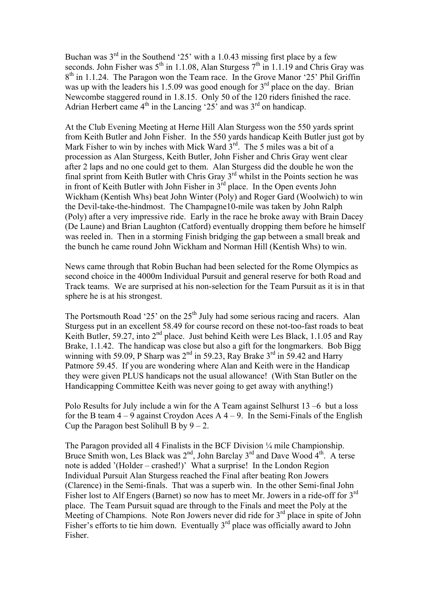Buchan was  $3<sup>rd</sup>$  in the Southend '25' with a 1.0.43 missing first place by a few seconds. John Fisher was  $5<sup>th</sup>$  in 1.1.08, Alan Sturgess  $7<sup>th</sup>$  in 1.1.19 and Chris Gray was  $8<sup>th</sup>$  in 1.1.24. The Paragon won the Team race. In the Grove Manor '25' Phil Griffin was up with the leaders his 1.5.09 was good enough for  $3<sup>rd</sup>$  place on the day. Brian Newcombe staggered round in 1.8.15. Only 50 of the 120 riders finished the race. Adrian Herbert came  $4<sup>th</sup>$  in the Lancing '25' and was  $3<sup>rd</sup>$  on handicap.

At the Club Evening Meeting at Herne Hill Alan Sturgess won the 550 yards sprint from Keith Butler and John Fisher. In the 550 yards handicap Keith Butler just got by Mark Fisher to win by inches with Mick Ward  $3^{rd}$ . The 5 miles was a bit of a procession as Alan Sturgess, Keith Butler, John Fisher and Chris Gray went clear after 2 laps and no one could get to them. Alan Sturgess did the double he won the final sprint from Keith Butler with Chris Gray 3rd whilst in the Points section he was in front of Keith Butler with John Fisher in  $3<sup>rd</sup>$  place. In the Open events John Wickham (Kentish Whs) beat John Winter (Poly) and Roger Gard (Woolwich) to win the Devil-take-the-hindmost. The Champagne10-mile was taken by John Ralph (Poly) after a very impressive ride. Early in the race he broke away with Brain Dacey (De Laune) and Brian Laughton (Catford) eventually dropping them before he himself was reeled in. Then in a storming Finish bridging the gap between a small break and the bunch he came round John Wickham and Norman Hill (Kentish Whs) to win.

News came through that Robin Buchan had been selected for the Rome Olympics as second choice in the 4000m Individual Pursuit and general reserve for both Road and Track teams. We are surprised at his non-selection for the Team Pursuit as it is in that sphere he is at his strongest.

The Portsmouth Road '25' on the  $25<sup>th</sup>$  July had some serious racing and racers. Alan Sturgess put in an excellent 58.49 for course record on these not-too-fast roads to beat Keith Butler, 59.27, into 2<sup>nd</sup> place. Just behind Keith were Les Black, 1.1.05 and Ray Brake, 1.1.42. The handicap was close but also a gift for the longmarkers. Bob Bigg winning with 59.09, P Sharp was  $2<sup>nd</sup>$  in 59.23, Ray Brake  $3<sup>rd</sup>$  in 59.42 and Harry Patmore 59.45. If you are wondering where Alan and Keith were in the Handicap they were given PLUS handicaps not the usual allowance! (With Stan Butler on the Handicapping Committee Keith was never going to get away with anything!)

Polo Results for July include a win for the A Team against Selhurst 13 –6 but a loss for the B team  $4 - 9$  against Croydon Aces A  $4 - 9$ . In the Semi-Finals of the English Cup the Paragon best Solihull B by  $9 - 2$ .

The Paragon provided all 4 Finalists in the BCF Division ¼ mile Championship. Bruce Smith won, Les Black was  $2<sup>nd</sup>$ , John Barclay  $3<sup>rd</sup>$  and Dave Wood  $4<sup>th</sup>$ . A terse note is added '(Holder – crashed!)' What a surprise! In the London Region Individual Pursuit Alan Sturgess reached the Final after beating Ron Jowers (Clarence) in the Semi-finals. That was a superb win. In the other Semi-final John Fisher lost to Alf Engers (Barnet) so now has to meet Mr. Jowers in a ride-off for 3rd place. The Team Pursuit squad are through to the Finals and meet the Poly at the Meeting of Champions. Note Ron Jowers never did ride for  $3<sup>rd</sup>$  place in spite of John Fisher's efforts to tie him down. Eventually  $3<sup>rd</sup>$  place was officially award to John Fisher.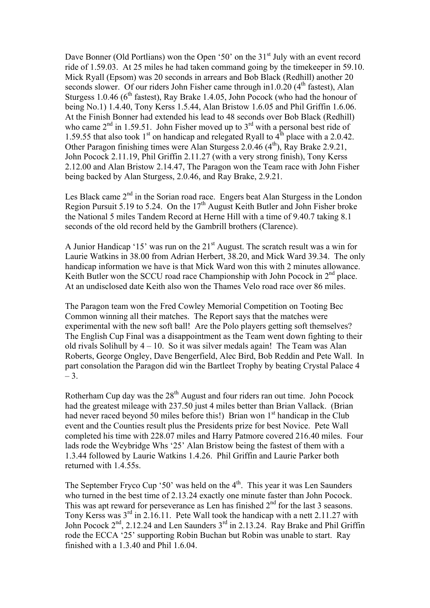Dave Bonner (Old Portlians) won the Open '50' on the  $31<sup>st</sup>$  July with an event record ride of 1.59.03. At 25 miles he had taken command going by the timekeeper in 59.10. Mick Ryall (Epsom) was 20 seconds in arrears and Bob Black (Redhill) another 20 seconds slower. Of our riders John Fisher came through in1.0.20  $(4<sup>th</sup>$  fastest), Alan Sturgess 1.0.46 ( $6<sup>th</sup>$  fastest), Ray Brake 1.4.05, John Pocock (who had the honour of being No.1) 1.4.40, Tony Kerss 1.5.44, Alan Bristow 1.6.05 and Phil Griffin 1.6.06. At the Finish Bonner had extended his lead to 48 seconds over Bob Black (Redhill) who came  $2<sup>nd</sup>$  in 1.59.51. John Fisher moved up to  $3<sup>rd</sup>$  with a personal best ride of 1.59.55 that also took  $1<sup>st</sup>$  on handicap and relegated Ryall to  $4<sup>th</sup>$  place with a 2.0.42. Other Paragon finishing times were Alan Sturgess  $2.0.46$  ( $4<sup>th</sup>$ ), Ray Brake 2.9.21, John Pocock 2.11.19, Phil Griffin 2.11.27 (with a very strong finish), Tony Kerss 2.12.00 and Alan Bristow 2.14.47, The Paragon won the Team race with John Fisher being backed by Alan Sturgess, 2.0.46, and Ray Brake, 2.9.21.

Les Black came  $2<sup>nd</sup>$  in the Sorian road race. Engers beat Alan Sturgess in the London Region Pursuit 5.19 to 5.24. On the  $17<sup>th</sup>$  August Keith Butler and John Fisher broke the National 5 miles Tandem Record at Herne Hill with a time of 9.40.7 taking 8.1 seconds of the old record held by the Gambrill brothers (Clarence).

A Junior Handicap '15' was run on the  $21<sup>st</sup>$  August. The scratch result was a win for Laurie Watkins in 38.00 from Adrian Herbert, 38.20, and Mick Ward 39.34. The only handicap information we have is that Mick Ward won this with 2 minutes allowance. Keith Butler won the SCCU road race Championship with John Pocock in 2<sup>nd</sup> place. At an undisclosed date Keith also won the Thames Velo road race over 86 miles.

The Paragon team won the Fred Cowley Memorial Competition on Tooting Bec Common winning all their matches. The Report says that the matches were experimental with the new soft ball! Are the Polo players getting soft themselves? The English Cup Final was a disappointment as the Team went down fighting to their old rivals Solihull by  $4 - 10$ . So it was silver medals again! The Team was Alan Roberts, George Ongley, Dave Bengerfield, Alec Bird, Bob Reddin and Pete Wall. In part consolation the Paragon did win the Bartleet Trophy by beating Crystal Palace 4  $-3.$ 

Rotherham Cup day was the 28<sup>th</sup> August and four riders ran out time. John Pocock had the greatest mileage with 237.50 just 4 miles better than Brian Vallack. (Brian had never raced beyond 50 miles before this!) Brian won  $1<sup>st</sup>$  handicap in the Club event and the Counties result plus the Presidents prize for best Novice. Pete Wall completed his time with 228.07 miles and Harry Patmore covered 216.40 miles. Four lads rode the Weybridge Whs '25' Alan Bristow being the fastest of them with a 1.3.44 followed by Laurie Watkins 1.4.26. Phil Griffin and Laurie Parker both returned with 1.4.55s.

The September Fryco Cup '50' was held on the  $4<sup>th</sup>$ . This year it was Len Saunders who turned in the best time of 2.13.24 exactly one minute faster than John Pocock. This was apt reward for perseverance as Len has finished  $2<sup>nd</sup>$  for the last 3 seasons. Tony Kerss was  $3^{rd}$  in 2.16.11. Pete Wall took the handicap with a nett 2.11.27 with John Pocock  $2<sup>nd</sup>$ , 2.12.24 and Len Saunders  $3<sup>rd</sup>$  in 2.13.24. Ray Brake and Phil Griffin rode the ECCA '25' supporting Robin Buchan but Robin was unable to start. Ray finished with a 1.3.40 and Phil 1.6.04.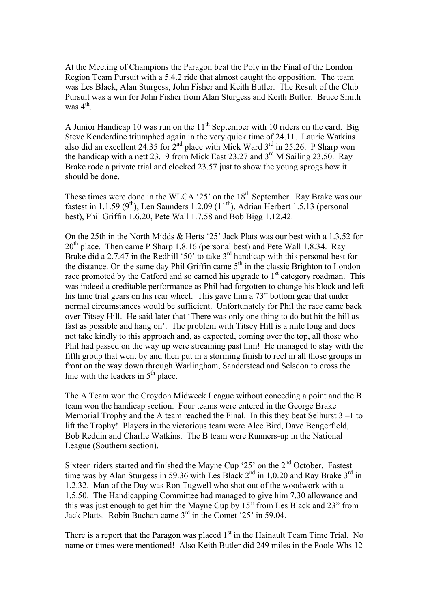At the Meeting of Champions the Paragon beat the Poly in the Final of the London Region Team Pursuit with a 5.4.2 ride that almost caught the opposition. The team was Les Black, Alan Sturgess, John Fisher and Keith Butler. The Result of the Club Pursuit was a win for John Fisher from Alan Sturgess and Keith Butler. Bruce Smith was  $4^{\text{th}}$ .

A Junior Handicap 10 was run on the  $11<sup>th</sup>$  September with 10 riders on the card. Big Steve Kenderdine triumphed again in the very quick time of 24.11. Laurie Watkins also did an excellent 24.35 for  $2<sup>nd</sup>$  place with Mick Ward  $3<sup>rd</sup>$  in 25.26. P Sharp won the handicap with a nett 23.19 from Mick East 23.27 and  $3<sup>rd</sup>$  M Sailing 23.50. Ray Brake rode a private trial and clocked 23.57 just to show the young sprogs how it should be done.

These times were done in the WLCA '25' on the  $18<sup>th</sup>$  September. Ray Brake was our fastest in 1.1.59 ( $9<sup>th</sup>$ ), Len Saunders 1.2.09 (11<sup>th</sup>), Adrian Herbert 1.5.13 (personal best), Phil Griffin 1.6.20, Pete Wall 1.7.58 and Bob Bigg 1.12.42.

On the 25th in the North Midds & Herts '25' Jack Plats was our best with a 1.3.52 for  $20<sup>th</sup>$  place. Then came P Sharp 1.8.16 (personal best) and Pete Wall 1.8.34. Ray Brake did a 2.7.47 in the Redhill '50' to take  $3<sup>rd</sup>$  handicap with this personal best for the distance. On the same day Phil Griffin came 5<sup>th</sup> in the classic Brighton to London race promoted by the Catford and so earned his upgrade to  $1<sup>st</sup>$  category roadman. This was indeed a creditable performance as Phil had forgotten to change his block and left his time trial gears on his rear wheel. This gave him a 73" bottom gear that under normal circumstances would be sufficient. Unfortunately for Phil the race came back over Titsey Hill. He said later that 'There was only one thing to do but hit the hill as fast as possible and hang on'. The problem with Titsey Hill is a mile long and does not take kindly to this approach and, as expected, coming over the top, all those who Phil had passed on the way up were streaming past him! He managed to stay with the fifth group that went by and then put in a storming finish to reel in all those groups in front on the way down through Warlingham, Sanderstead and Selsdon to cross the line with the leaders in  $5<sup>th</sup>$  place.

The A Team won the Croydon Midweek League without conceding a point and the B team won the handicap section. Four teams were entered in the George Brake Memorial Trophy and the A team reached the Final. In this they beat Selhurst  $3 - 1$  to lift the Trophy! Players in the victorious team were Alec Bird, Dave Bengerfield, Bob Reddin and Charlie Watkins. The B team were Runners-up in the National League (Southern section).

Sixteen riders started and finished the Mayne Cup '25' on the 2<sup>nd</sup> October. Fastest time was by Alan Sturgess in 59.36 with Les Black  $2<sup>nd</sup>$  in 1.0.20 and Ray Brake  $3<sup>rd</sup>$  in 1.2.32. Man of the Day was Ron Tugwell who shot out of the woodwork with a 1.5.50. The Handicapping Committee had managed to give him 7.30 allowance and this was just enough to get him the Mayne Cup by 15" from Les Black and 23" from Jack Platts. Robin Buchan came 3rd in the Comet '25' in 59.04.

There is a report that the Paragon was placed 1<sup>st</sup> in the Hainault Team Time Trial. No name or times were mentioned! Also Keith Butler did 249 miles in the Poole Whs 12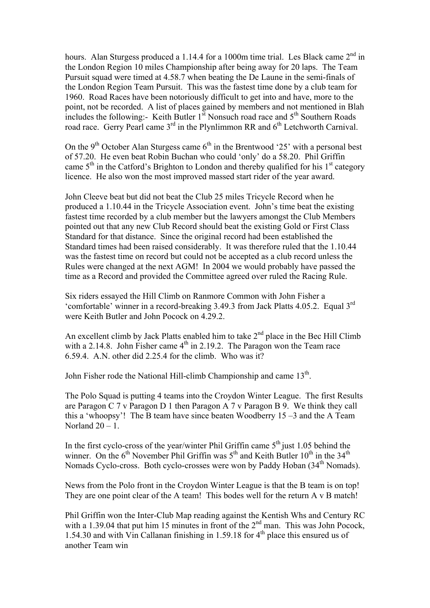hours. Alan Sturgess produced a 1.14.4 for a 1000m time trial. Les Black came  $2<sup>nd</sup>$  in the London Region 10 miles Championship after being away for 20 laps. The Team Pursuit squad were timed at 4.58.7 when beating the De Laune in the semi-finals of the London Region Team Pursuit. This was the fastest time done by a club team for 1960. Road Races have been notoriously difficult to get into and have, more to the point, not be recorded. A list of places gained by members and not mentioned in Blah includes the following:- Keith Butler  $1<sup>st</sup>$  Nonsuch road race and  $5<sup>th</sup>$  Southern Roads road race. Gerry Pearl came 3<sup>rd</sup> in the Plynlimmon RR and 6<sup>th</sup> Letchworth Carnival.

On the 9<sup>th</sup> October Alan Sturgess came  $6<sup>th</sup>$  in the Brentwood '25' with a personal best of 57.20. He even beat Robin Buchan who could 'only' do a 58.20. Phil Griffin came  $5<sup>th</sup>$  in the Catford's Brighton to London and thereby qualified for his  $1<sup>st</sup>$  category licence. He also won the most improved massed start rider of the year award.

John Cleeve beat but did not beat the Club 25 miles Tricycle Record when he produced a 1.10.44 in the Tricycle Association event. John's time beat the existing fastest time recorded by a club member but the lawyers amongst the Club Members pointed out that any new Club Record should beat the existing Gold or First Class Standard for that distance. Since the original record had been established the Standard times had been raised considerably. It was therefore ruled that the 1.10.44 was the fastest time on record but could not be accepted as a club record unless the Rules were changed at the next AGM! In 2004 we would probably have passed the time as a Record and provided the Committee agreed over ruled the Racing Rule.

Six riders essayed the Hill Climb on Ranmore Common with John Fisher a 'comfortable' winner in a record-breaking 3.49.3 from Jack Platts 4.05.2. Equal 3rd were Keith Butler and John Pocock on 4.29.2.

An excellent climb by Jack Platts enabled him to take  $2<sup>nd</sup>$  place in the Bec Hill Climb with a 2.14.8. John Fisher came  $4<sup>th</sup>$  in 2.19.2. The Paragon won the Team race 6.59.4. A.N. other did 2.25.4 for the climb. Who was it?

John Fisher rode the National Hill-climb Championship and came 13<sup>th</sup>.

The Polo Squad is putting 4 teams into the Croydon Winter League. The first Results are Paragon C 7 v Paragon D 1 then Paragon A 7 v Paragon B 9. We think they call this a 'whoopsy'! The B team have since beaten Woodberry 15 –3 and the A Team Norland  $20 - 1$ .

In the first cyclo-cross of the year/winter Phil Griffin came  $5<sup>th</sup>$  just 1.05 behind the winner. On the  $6<sup>th</sup>$  November Phil Griffin was  $5<sup>th</sup>$  and Keith Butler  $10<sup>th</sup>$  in the  $34<sup>th</sup>$ Nomads Cyclo-cross. Both cyclo-crosses were won by Paddy Hoban (34<sup>th</sup> Nomads).

News from the Polo front in the Croydon Winter League is that the B team is on top! They are one point clear of the A team! This bodes well for the return A v B match!

Phil Griffin won the Inter-Club Map reading against the Kentish Whs and Century RC with a 1.39.04 that put him 15 minutes in front of the  $2<sup>nd</sup>$  man. This was John Pocock, 1.54.30 and with Vin Callanan finishing in 1.59.18 for  $4<sup>th</sup>$  place this ensured us of another Team win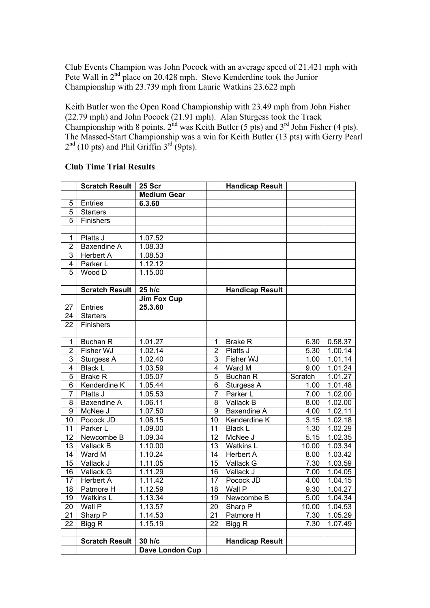Club Events Champion was John Pocock with an average speed of 21.421 mph with Pete Wall in 2<sup>nd</sup> place on 20.428 mph. Steve Kenderdine took the Junior Championship with 23.739 mph from Laurie Watkins 23.622 mph

Keith Butler won the Open Road Championship with 23.49 mph from John Fisher (22.79 mph) and John Pocock (21.91 mph). Alan Sturgess took the Track Championship with 8 points.  $2<sup>nd</sup>$  was Keith Butler (5 pts) and  $3<sup>rd</sup>$  John Fisher (4 pts). The Massed-Start Championship was a win for Keith Butler (13 pts) with Gerry Pearl  $2<sup>nd</sup>$  (10 pts) and Phil Griffin  $3<sup>rd</sup>$  (9pts).

## **Club Time Trial Results**

|                | <b>Scratch Result</b> | <b>25 Scr</b>      |                | <b>Handicap Result</b> |         |         |
|----------------|-----------------------|--------------------|----------------|------------------------|---------|---------|
|                |                       | <b>Medium Gear</b> |                |                        |         |         |
| 5              | Entries               | 6.3.60             |                |                        |         |         |
| 5              | <b>Starters</b>       |                    |                |                        |         |         |
| 5              | Finishers             |                    |                |                        |         |         |
|                |                       |                    |                |                        |         |         |
| 1              | Platts J              | 1.07.52            |                |                        |         |         |
| $\overline{2}$ | <b>Baxendine A</b>    | 1.08.33            |                |                        |         |         |
| $\overline{3}$ | <b>Herbert A</b>      | 1.08.53            |                |                        |         |         |
| $\overline{4}$ | Parker L              | 1.12.12            |                |                        |         |         |
| $\overline{5}$ | Wood D                | 1.15.00            |                |                        |         |         |
|                |                       |                    |                |                        |         |         |
|                | <b>Scratch Result</b> | 25 h/c             |                | <b>Handicap Result</b> |         |         |
|                |                       | <b>Jim Fox Cup</b> |                |                        |         |         |
| 27             | Entries               | 25.3.60            |                |                        |         |         |
| 24             | <b>Starters</b>       |                    |                |                        |         |         |
| 22             | Finishers             |                    |                |                        |         |         |
|                |                       |                    |                |                        |         |         |
| 1              | <b>Buchan R</b>       | 1.01.27            | 1              | <b>Brake R</b>         | 6.30    | 0.58.37 |
| $\overline{2}$ | Fisher WJ             | 1.02.14            | $\overline{2}$ | Platts J               | 5.30    | 1.00.14 |
| $\overline{3}$ | Sturgess A            | 1.02.40            | 3              | Fisher WJ              | 1.00    | 1.01.14 |
| 4              | <b>Black L</b>        | 1.03.59            | 4              | Ward M                 | 9.00    | 1.01.24 |
| $\overline{5}$ | <b>Brake R</b>        | 1.05.07            | $\overline{5}$ | <b>Buchan R</b>        | Scratch | 1.01.27 |
| 6              | Kenderdine K          | 1.05.44            | 6              | Sturgess A             | 1.00    | 1.01.48 |
| $\overline{7}$ | Platts J              | 1.05.53            | $\overline{7}$ | Parker L               | 7.00    | 1.02.00 |
| 8              | <b>Baxendine A</b>    | 1.06.11            | 8              | Vallack B              | 8.00    | 1.02.00 |
| 9              | McNee J               | 1.07.50            | $\overline{9}$ | Baxendine A            | 4.00    | 1.02.11 |
| 10             | Pocock JD             | 1.08.15            | 10             | Kenderdine K           | 3.15    | 1.02.18 |
| 11             | Parker L              | 1.09.00            | 11             | <b>Black L</b>         | 1.30    | 1.02.29 |
| 12             | Newcombe B            | 1.09.34            | 12             | McNee J                | 5.15    | 1.02.35 |
| 13             | Vallack B             | 1.10.00            | 13             | Watkins L              | 10.00   | 1.03.34 |
| 14             | Ward M                | 1.10.24            | 14             | <b>Herbert A</b>       | 8.00    | 1.03.42 |
| 15             | Vallack J             | 1.11.05            | 15             | Vallack G              | 7.30    | 1.03.59 |
| 16             | Vallack G             | 1.11.29            | 16             | Vallack J              | 7.00    | 1.04.05 |
| 17             | <b>Herbert A</b>      | 1.11.42            | 17             | Pocock JD              | 4.00    | 1.04.15 |
| 18             | Patmore H             | 1.12.59            | 18             | Wall P                 | 9.30    | 1.04.27 |
| 19             | Watkins L             | 1.13.34            | 19             | Newcombe B             | 5.00    | 1.04.34 |
| 20             | Wall P                | 1.13.57            | 20             | Sharp P                | 10.00   | 1.04.53 |
| 21             | Sharp P               | 1.14.53            | 21             | Patmore H              | 7.30    | 1.05.29 |
| 22             | Bigg R                | 1.15.19            | 22             | Bigg R                 | 7.30    | 1.07.49 |
|                |                       |                    |                |                        |         |         |
|                | <b>Scratch Result</b> | 30 h/c             |                | <b>Handicap Result</b> |         |         |
|                |                       | Dave London Cup    |                |                        |         |         |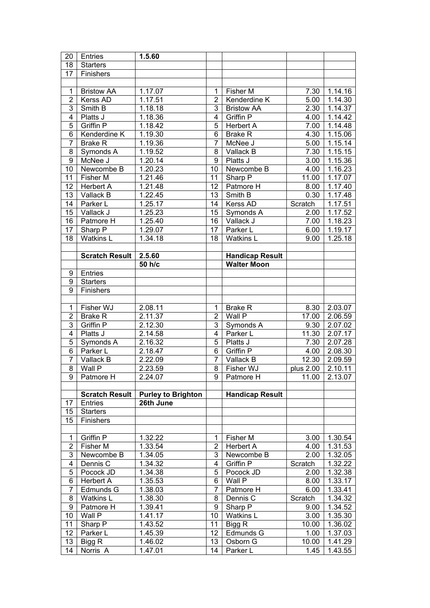| 20             | Entries               | 1.5.60                    |                |                        |               |                    |
|----------------|-----------------------|---------------------------|----------------|------------------------|---------------|--------------------|
| 18             | <b>Starters</b>       |                           |                |                        |               |                    |
| 17             | Finishers             |                           |                |                        |               |                    |
|                |                       |                           |                |                        |               |                    |
| $\mathbf{1}$   | <b>Bristow AA</b>     | 1.17.07                   | 1              | Fisher M               | 7.30          | 1.14.16            |
| $\overline{2}$ | Kerss AD              | 1.17.51                   | 2              | Kenderdine K           | 5.00          | 1.14.30            |
| 3              | Smith B               | 1.18.18                   | 3              | <b>Bristow AA</b>      | 2.30          | 1.14.37            |
| 4              | Platts J              | 1.18.36                   | 4              | Griffin P              | 4.00          | 1.14.42            |
| $\overline{5}$ | Griffin P             | 1.18.42                   | 5              | <b>Herbert A</b>       | 7.00          | 1.14.48            |
| $\overline{6}$ | Kenderdine K          | 1.19.30                   | 6              | <b>Brake R</b>         | 4.30          | 1.15.06            |
| $\overline{7}$ | <b>Brake R</b>        | 1.19.36                   | $\overline{7}$ | McNee J                | 5.00          | 1.15.14            |
| 8              | Symonds A             | 1.19.52                   | 8              | Vallack B              | 7.30          | 1.15.15            |
| $\overline{9}$ | McNee J               | 1.20.14                   | 9              | Platts J               | 3.00          | 1.15.36            |
| 10             | Newcombe B            | 1.20.23                   | 10             | Newcombe B             | 4.00          | 1.16.23            |
| 11             | Fisher M              | 1.21.46                   | 11             | Sharp P                | 11.00         | 1.17.07            |
| 12             | Herbert A             | 1.21.48                   | 12             | Patmore H              | 8.00          | 1.17.40            |
| 13             | Vallack B             | 1.22.45                   | 13             | Smith B                | 0.30          | 1.17.48            |
| 14             | Parker L              | 1.25.17                   | 14             | Kerss AD               | Scratch       | 1.17.51            |
| 15             | Vallack J             | 1.25.23                   | 15             | Symonds A              | 2.00          | 1.17.52            |
| 16             | Patmore H             | 1.25.40                   | 16             | Vallack J              | 7.00          | 1.18.23            |
| 17             | Sharp P               | 1.29.07                   | 17             | Parker L               | 6.00          | 1.19.17            |
| 18             | Watkins L             | 1.34.18                   | 18             | <b>Watkins L</b>       | 9.00          | 1.25.18            |
|                |                       |                           |                |                        |               |                    |
|                | <b>Scratch Result</b> | 2.5.60                    |                | <b>Handicap Result</b> |               |                    |
|                |                       | 50 h/c                    |                | <b>Walter Moon</b>     |               |                    |
| 9              | Entries               |                           |                |                        |               |                    |
| 9              | <b>Starters</b>       |                           |                |                        |               |                    |
| $\overline{9}$ | Finishers             |                           |                |                        |               |                    |
|                |                       |                           |                |                        |               |                    |
| $\mathbf{1}$   | Fisher WJ             | 2.08.11                   | 1              | <b>Brake R</b>         | 8.30          | 2.03.07            |
| $\overline{2}$ | <b>Brake R</b>        | 2.11.37                   | $\overline{c}$ | Wall P                 | 17.00         | 2.06.59            |
| 3              | Griffin P             | 2.12.30                   | 3              | Symonds A              | 9.30          | 2.07.02            |
| 4              | Platts J              | 2.14.58                   | 4              | Parker L               | 11.30         | 2.07.17            |
| $\overline{5}$ | Symonds A             | 2.16.32                   | $\overline{5}$ | Platts J               | 7.30          | 2.07.28            |
| $\overline{6}$ | Parker L              | 2.18.47                   | 6              | Griffin P              | 4.00          | 2.08.30            |
| $\overline{7}$ | Vallack B             | 2.22.09                   | $\overline{7}$ | Vallack B              | 12.30         | 2.09.59            |
| $\overline{8}$ | Wall P                | 2.23.59                   | 8              | Fisher WJ              | plus 2.00     | 2.10.11            |
| $\overline{9}$ | Patmore H             | 2.24.07                   | $\overline{9}$ | Patmore H              | 11.00         | 2.13.07            |
|                |                       |                           |                |                        |               |                    |
|                | <b>Scratch Result</b> | <b>Purley to Brighton</b> |                | <b>Handicap Result</b> |               |                    |
| 17             | Entries               | 26th June                 |                |                        |               |                    |
| 15             | <b>Starters</b>       |                           |                |                        |               |                    |
| 15             | <b>Finishers</b>      |                           |                |                        |               |                    |
|                |                       |                           |                |                        |               |                    |
| $\mathbf 1$    | Griffin P             | 1.32.22                   | 1              | Fisher M               | 3.00          | 1.30.54            |
| $\overline{2}$ | Fisher M              | 1.33.54                   | $\overline{2}$ | <b>Herbert A</b>       | 4.00          | 1.31.53            |
| 3              | Newcombe B            | 1.34.05                   | 3              | Newcombe B             | 2.00          | 1.32.05            |
| 4              | Dennis C              | 1.34.32                   | 4              | Griffin P              | Scratch       | 1.32.22            |
| 5              | Pocock JD             | 1.34.38                   | 5              | Pocock JD              | 2.00          | 1.32.38            |
| 6              | Herbert A             | 1.35.53                   | 6              | Wall P                 | 8.00          | 1.33.17            |
|                | Edmunds G             | 1.38.03                   | 7              | Patmore H              | 6.00          | 1.33.41            |
|                | <b>Watkins L</b>      | 1.38.30                   | 8              | Dennis C               | Scratch       | 1.34.32            |
| 7              | Patmore H             | 1.39.41                   | 9              | Sharp P                | 9.00          | 1.34.52            |
| 8              |                       |                           |                |                        |               |                    |
| 9              |                       |                           |                |                        |               |                    |
| 10             | Wall P                | 1.41.17                   | 10             | <b>Watkins L</b>       | 3.00          | 1.35.30            |
| 11             | Sharp P               | 1.43.52                   | 11             | Bigg R                 | 10.00         | 1.36.02            |
| 12             | Parker L              | 1.45.39                   | 12             | Edmunds G              | 1.00          | 1.37.03            |
| 13<br>14       | Bigg R<br>Norris A    | 1.46.02<br>1.47.01        | 13<br>14       | Osborn G<br>Parker L   | 10.00<br>1.45 | 1.41.29<br>1.43.55 |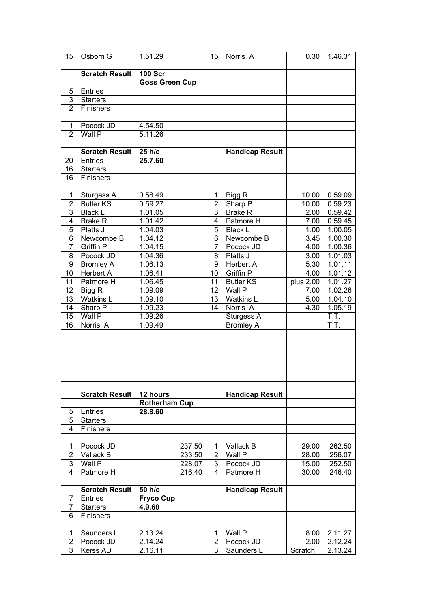| 15                      | Osborn G                   | 1.51.29               |        | 15             | Norris <sub>A</sub>    | 0.30      | 1.46.31 |
|-------------------------|----------------------------|-----------------------|--------|----------------|------------------------|-----------|---------|
|                         |                            |                       |        |                |                        |           |         |
|                         | <b>Scratch Result</b>      | <b>100 Scr</b>        |        |                |                        |           |         |
|                         |                            | <b>Goss Green Cup</b> |        |                |                        |           |         |
| 5                       | Entries                    |                       |        |                |                        |           |         |
| 3                       | <b>Starters</b>            |                       |        |                |                        |           |         |
| $\overline{2}$          | Finishers                  |                       |        |                |                        |           |         |
|                         |                            |                       |        |                |                        |           |         |
| $\mathbf{1}$            | Pocock JD                  | 4.54.50               |        |                |                        |           |         |
| $\overline{2}$          | Wall P                     | 5.11.26               |        |                |                        |           |         |
|                         |                            |                       |        |                |                        |           |         |
|                         |                            |                       |        |                |                        |           |         |
|                         | <b>Scratch Result</b>      | 25 h/c                |        |                | <b>Handicap Result</b> |           |         |
| 20                      | Entries                    | 25.7.60               |        |                |                        |           |         |
| 16                      | <b>Starters</b>            |                       |        |                |                        |           |         |
| 16                      | Finishers                  |                       |        |                |                        |           |         |
|                         |                            |                       |        |                |                        |           |         |
| $\mathbf 1$             | Sturgess A                 | 0.58.49               |        | 1              | Bigg R                 | 10.00     | 0.59.09 |
| $\overline{2}$          | <b>Butler KS</b>           | 0.59.27               |        | $\overline{2}$ | Sharp $\overline{P}$   | 10.00     | 0.59.23 |
| 3                       | <b>Black L</b>             | 1.01.05               |        | 3              | <b>Brake R</b>         | 2.00      | 0.59.42 |
| $\overline{\mathbf{4}}$ | <b>Brake R</b>             | 1.01.42               |        | 4              | Patmore H              | 7.00      | 0.59.45 |
| 5                       | Platts J                   | 1.04.03               |        | 5              | <b>Black L</b>         | 1.00      | 1.00.05 |
| 6                       | Newcombe B                 | 1.04.12               |        | 6              | Newcombe B             | 3.45      | 1.00.30 |
| $\overline{7}$          | <b>Griffin P</b>           | 1.04.15               |        | 7              | Pocock JD              | 4.00      | 1.00.36 |
| 8                       | Pocock JD                  | 1.04.36               |        | 8              | Platts J               | 3.00      | 1.01.03 |
| 9                       | Bromley A                  | 1.06.13               |        | 9              | <b>Herbert A</b>       | 5.30      | 1.01.11 |
| 10                      | <b>Herbert A</b>           | 1.06.41               |        | 10             | Griffin P              | 4.00      | 1.01.12 |
| 11                      | Patmore H                  | 1.06.45               |        | 11             | <b>Butler KS</b>       | plus 2.00 | 1.01.27 |
| 12                      |                            | 1.09.09               |        | 12             | Wall P                 | 7.00      | 1.02.26 |
|                         | Bigg R<br><b>Watkins L</b> |                       |        | 13             |                        |           |         |
| 13                      |                            | 1.09.10               |        |                | Watkins L              | 5.00      | 1.04.10 |
| 14                      | Sharp P                    | 1.09.23               |        | 14             | Norris A               | 4.30      | 1.05.19 |
| 15                      | Wall P                     | 1.09.26               |        |                | Sturgess A             |           | T.T.    |
| 16                      | Norris A                   | 1.09.49               |        |                | <b>Bromley A</b>       |           | T.T.    |
|                         |                            |                       |        |                |                        |           |         |
|                         |                            |                       |        |                |                        |           |         |
|                         |                            |                       |        |                |                        |           |         |
|                         |                            |                       |        |                |                        |           |         |
|                         |                            |                       |        |                |                        |           |         |
|                         |                            |                       |        |                |                        |           |         |
|                         |                            |                       |        |                |                        |           |         |
|                         | <b>Scratch Result</b>      | 12 hours              |        |                | <b>Handicap Result</b> |           |         |
|                         |                            | <b>Rotherham Cup</b>  |        |                |                        |           |         |
| 5                       | Entries                    | 28.8.60               |        |                |                        |           |         |
| 5                       | <b>Starters</b>            |                       |        |                |                        |           |         |
| $\overline{4}$          | Finishers                  |                       |        |                |                        |           |         |
|                         |                            |                       |        |                |                        |           |         |
| 1                       | Pocock JD                  |                       | 237.50 | 1              | Vallack B              | 29.00     | 262.50  |
| $\overline{2}$          | Vallack B                  |                       | 233.50 | 2              | Wall $\overline{P}$    | 28.00     | 256.07  |
| 3                       | Wall P                     |                       | 228.07 | 3              | Pocock JD              | 15.00     | 252.50  |
| $\overline{4}$          | Patmore H                  |                       | 216.40 | $\overline{4}$ | Patmore H              | 30.00     | 246.40  |
|                         |                            |                       |        |                |                        |           |         |
|                         | <b>Scratch Result</b>      | 50 h/c                |        |                | <b>Handicap Result</b> |           |         |
| 7                       | Entries                    | <b>Fryco Cup</b>      |        |                |                        |           |         |
| 7                       | <b>Starters</b>            | 4.9.60                |        |                |                        |           |         |
| 6                       | Finishers                  |                       |        |                |                        |           |         |
|                         |                            |                       |        |                |                        |           |         |
| 1                       | Saunders L                 | $2.13.\overline{24}$  |        | 1              | Wall P                 | 8.00      | 2.11.27 |
| $\overline{2}$          | Pocock JD                  | 2.14.24               |        | 2              | Pocock JD              | 2.00      | 2.12.24 |
| $\overline{3}$          |                            |                       |        | 3              |                        |           |         |
|                         | Kerss AD                   | 2.16.11               |        |                | Saunders L             | Scratch   | 2.13.24 |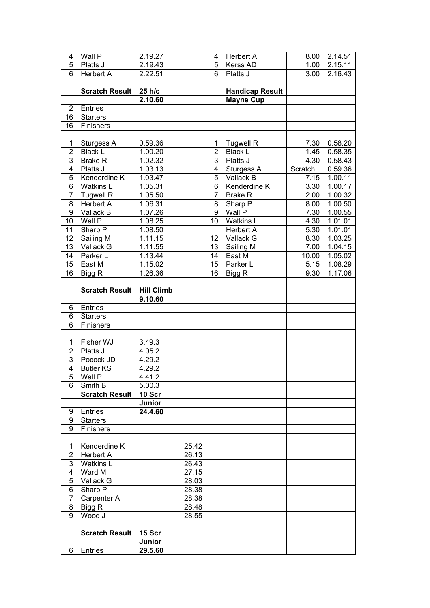| 4              | Wall P                | 2.19.27           |       | 4              | <b>Herbert A</b>       | 8.00    | 2.14.51 |
|----------------|-----------------------|-------------------|-------|----------------|------------------------|---------|---------|
| 5              | Platts J              | 2.19.43           |       | 5              | Kerss AD               | 1.00    | 2.15.11 |
| $\overline{6}$ | <b>Herbert A</b>      | 2.22.51           |       | 6              | Platts J               | 3.00    | 2.16.43 |
|                |                       |                   |       |                |                        |         |         |
|                | <b>Scratch Result</b> | 25 h/c            |       |                | <b>Handicap Result</b> |         |         |
|                |                       | 2.10.60           |       |                | <b>Mayne Cup</b>       |         |         |
| $\overline{2}$ | Entries               |                   |       |                |                        |         |         |
| 16             | <b>Starters</b>       |                   |       |                |                        |         |         |
| 16             | Finishers             |                   |       |                |                        |         |         |
|                |                       |                   |       |                |                        |         |         |
| $\mathbf{1}$   | Sturgess A            | 0.59.36           |       | 1              | <b>Tugwell R</b>       | 7.30    | 0.58.20 |
| $\overline{2}$ | <b>Black L</b>        | 1.00.20           |       | $\overline{2}$ | <b>Black L</b>         | 1.45    | 0.58.35 |
| $\overline{3}$ | <b>Brake R</b>        | 1.02.32           |       | $\overline{3}$ | Platts J               | 4.30    | 0.58.43 |
| $\overline{4}$ | Platts J              | 1.03.13           |       | $\overline{4}$ | Sturgess A             | Scratch | 0.59.36 |
| $\overline{5}$ | Kenderdine K          | 1.03.47           |       | $\overline{5}$ | Vallack B              | 7.15    | 1.00.11 |
| $\overline{6}$ | <b>Watkins L</b>      | 1.05.31           |       | $\overline{6}$ | Kenderdine K           | 3.30    | 1.00.17 |
| $\overline{7}$ | <b>Tugwell R</b>      | 1.05.50           |       | $\overline{7}$ | <b>Brake R</b>         | 2.00    | 1.00.32 |
| 8              | <b>Herbert A</b>      | 1.06.31           |       | 8              | Sharp P                | 8.00    | 1.00.50 |
| $\overline{9}$ | Vallack B             | 1.07.26           |       | $\overline{9}$ | Wall P                 | 7.30    | 1.00.55 |
| 10             | Wall P                | 1.08.25           |       | 10             | <b>Watkins L</b>       | 4.30    | 1.01.01 |
| 11             | Sharp P               | 1.08.50           |       |                | <b>Herbert A</b>       | 5.30    | 1.01.01 |
| 12             | Sailing M             | 1.11.15           |       | 12             | Vallack G              | 8.30    | 1.03.25 |
| 13             | Vallack G             | 1.11.55           |       | 13             | Sailing M              | 7.00    | 1.04.15 |
| 14             | Parker L              | 1.13.44           |       | 14             | East M                 | 10.00   | 1.05.02 |
| 15             | East M                | 1.15.02           |       | 15             | Parker L               | 5.15    | 1.08.29 |
| 16             | Bigg R                | 1.26.36           |       | 16             | Bigg R                 | 9.30    | 1.17.06 |
|                |                       |                   |       |                |                        |         |         |
|                | <b>Scratch Result</b> | <b>Hill Climb</b> |       |                |                        |         |         |
|                |                       | 9.10.60           |       |                |                        |         |         |
| 6              | Entries               |                   |       |                |                        |         |         |
| 6              | <b>Starters</b>       |                   |       |                |                        |         |         |
| $\overline{6}$ | Finishers             |                   |       |                |                        |         |         |
|                |                       |                   |       |                |                        |         |         |
| $\mathbf{1}$   | Fisher WJ             | 3.49.3            |       |                |                        |         |         |
| $\overline{2}$ | Platts J              | 4.05.2            |       |                |                        |         |         |
| $\overline{3}$ | Pocock JD             | 4.29.2            |       |                |                        |         |         |
| $\overline{4}$ | <b>Butler KS</b>      | 4.29.2            |       |                |                        |         |         |
| $\overline{5}$ | Wall P                | 4.41.2            |       |                |                        |         |         |
| 6              | Smith B               | 5.00.3            |       |                |                        |         |         |
|                | <b>Scratch Result</b> | 10 Scr            |       |                |                        |         |         |
|                |                       | Junior            |       |                |                        |         |         |
| 9              | Entries               | 24.4.60           |       |                |                        |         |         |
| 9              | <b>Starters</b>       |                   |       |                |                        |         |         |
| 9              | Finishers             |                   |       |                |                        |         |         |
|                |                       |                   |       |                |                        |         |         |
| $\mathbf{1}$   | Kenderdine K          |                   | 25.42 |                |                        |         |         |
| $\overline{2}$ |                       |                   |       |                |                        |         |         |
| 3              | <b>Herbert A</b>      |                   | 26.13 |                |                        |         |         |
|                | <b>Watkins L</b>      |                   | 26.43 |                |                        |         |         |
| 4              | Ward M                |                   | 27.15 |                |                        |         |         |
| 5              | Vallack G             |                   | 28.03 |                |                        |         |         |
| 6              | Sharp P               |                   | 28.38 |                |                        |         |         |
| $\overline{7}$ | Carpenter A           |                   | 28.38 |                |                        |         |         |
| 8              | Bigg R                |                   | 28.48 |                |                        |         |         |
| $\overline{9}$ | Wood J                |                   | 28.55 |                |                        |         |         |
|                |                       |                   |       |                |                        |         |         |
|                | <b>Scratch Result</b> | 15 Scr            |       |                |                        |         |         |
| 6              | Entries               | Junior<br>29.5.60 |       |                |                        |         |         |